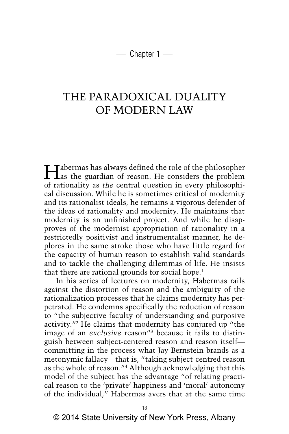$-$  Chapter 1  $-$ 

# THE PARADOXICAL DUALITY OF MODERN LAW

Habermas has always defined the role of the philosopher as the guardian of reason. He considers the problem of rationality as *the* central question in every philosophical discussion. While he is sometimes critical of modernity and its rationalist ideals, he remains a vigorous defender of the ideas of rationality and modernity. He maintains that modernity is an unfinished project. And while he disapproves of the modernist appropriation of rationality in a restrictedly positivist and instrumentalist manner, he deplores in the same stroke those who have little regard for the capacity of human reason to establish valid standards and to tackle the challenging dilemmas of life. He insists that there are rational grounds for social hope.<sup>1</sup>

In his series of lectures on modernity, Habermas rails against the distortion of reason and the ambiguity of the rationalization processes that he claims modernity has perpetrated. He condemns specifically the reduction of reason to "the subjective faculty of understanding and purposive activity."2 He claims that modernity has conjured up "the image of an *exclusive* reason"3 because it fails to distinguish between subject-centered reason and reason itself committing in the process what Jay Bernstein brands as a metonymic fallacy—that is, "taking subject-centred reason as the whole of reason."4 Although acknowledging that this model of the subject has the advantage "of relating practical reason to the 'private' happiness and 'moral' autonomy of the individual," Habermas avers that at the same time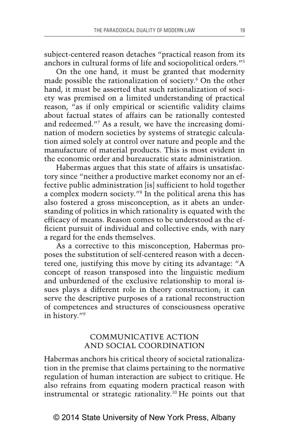subject-centered reason detaches "practical reason from its anchors in cultural forms of life and sociopolitical orders."5

On the one hand, it must be granted that modernity made possible the rationalization of society.<sup>6</sup> On the other hand, it must be asserted that such rationalization of society was premised on a limited understanding of practical reason, "as if only empirical or scientific validity claims about factual states of affairs can be rationally contested and redeemed."7 As a result, we have the increasing domination of modern societies by systems of strategic calculation aimed solely at control over nature and people and the manufacture of material products. This is most evident in the economic order and bureaucratic state administration.

Habermas argues that this state of affairs is unsatisfactory since "neither a productive market economy nor an effective public administration [is] sufficient to hold together a complex modern society."8 In the political arena this has also fostered a gross misconception, as it abets an understanding of politics in which rationality is equated with the efficacy of means. Reason comes to be understood as the efficient pursuit of individual and collective ends, with nary a regard for the ends themselves.

As a corrective to this misconception, Habermas proposes the substitution of self-centered reason with a decentered one, justifying this move by citing its advantage: "A concept of reason transposed into the linguistic medium and unburdened of the exclusive relationship to moral issues plays a different role in theory construction; it can serve the descriptive purposes of a rational reconstruction of competences and structures of consciousness operative in history."9

## **COMMUNICATIVE ACTION** AND SOCIAL COORDINATION

Habermas anchors his critical theory of societal rationalization in the premise that claims pertaining to the normative regulation of human interaction are subject to critique. He also refrains from equating modern practical reason with instrumental or strategic rationality.10 He points out that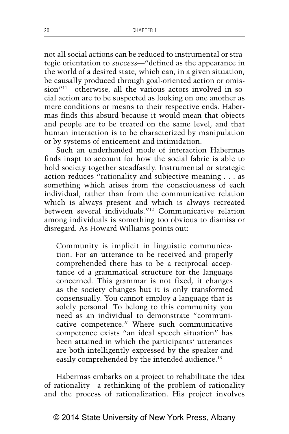not all social actions can be reduced to instrumental or strategic orientation to *success*—"defined as the appearance in the world of a desired state, which can, in a given situation, be causally produced through goal-oriented action or omission"<sup>11</sup>-otherwise, all the various actors involved in social action are to be suspected as looking on one another as mere conditions or means to their respective ends. Habermas finds this absurd because it would mean that objects and people are to be treated on the same level, and that human interaction is to be characterized by manipulation or by systems of enticement and intimidation.

Such an underhanded mode of interaction Habermas finds inapt to account for how the social fabric is able to hold society together steadfastly. Instrumental or strategic action reduces "rationality and subjective meaning . . . as something which arises from the consciousness of each individual, rather than from the communicative relation which is always present and which is always recreated between several individuals."12 Communicative relation among individuals is something too obvious to dismiss or disregard. As Howard Williams points out:

Community is implicit in linguistic communication. For an utterance to be received and properly comprehended there has to be a reciprocal acceptance of a grammatical structure for the language concerned. This grammar is not fixed, it changes as the society changes but it is only transformed consensually. You cannot employ a language that is solely personal. To belong to this community you need as an individual to demonstrate "communicative competence." Where such communicative competence exists "an ideal speech situation" has been attained in which the participants' utterances are both intelligently expressed by the speaker and easily comprehended by the intended audience.<sup>13</sup>

Habermas embarks on a project to rehabilitate the idea of rationality—a rethinking of the problem of rationality and the process of rationalization. His project involves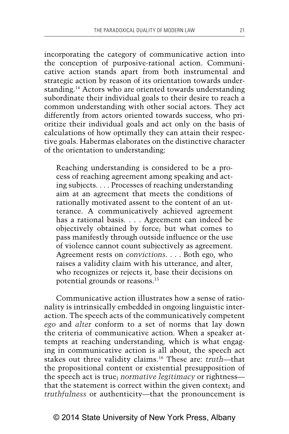incorporating the category of communicative action into the conception of purposive-rational action. Communicative action stands apart from both instrumental and strategic action by reason of its orientation towards understanding.14 Actors who are oriented towards understanding subordinate their individual goals to their desire to reach a common understanding with other social actors. They act differently from actors oriented towards success, who prioritize their individual goals and act only on the basis of calculations of how optimally they can attain their respective goals. Habermas elaborates on the distinctive character of the orientation to understanding:

Reaching understanding is considered to be a process of reaching agreement among speaking and acting subjects. . . . Processes of reaching understanding aim at an agreement that meets the conditions of rationally motivated assent to the content of an utterance. A communicatively achieved agreement has a rational basis. . . . Agreement can indeed be objectively obtained by force; but what comes to pass manifestly through outside influence or the use of violence cannot count subjectively as agreement. Agreement rests on *convictions*. . . . Both ego, who raises a validity claim with his utterance, and alter, who recognizes or rejects it, base their decisions on potential grounds or reasons.15

Communicative action illustrates how a sense of rationality is intrinsically embedded in ongoing linguistic interaction. The speech acts of the communicatively competent *ego* and *alter* conform to a set of norms that lay down the criteria of communicative action. When a speaker attempts at reaching understanding, which is what engaging in communicative action is all about, the speech act stakes out three validity claims.16 These are: *truth*—that the propositional content or existential presupposition of the speech act is true; *normative legitimacy* or rightness that the statement is correct within the given context; and *truthfulness* or authenticity—that the pronouncement is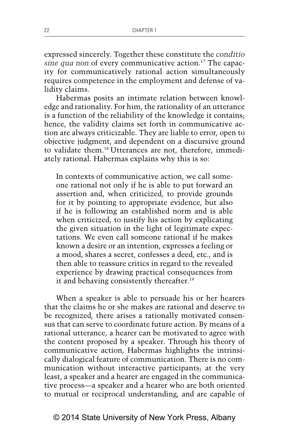expressed sincerely. Together these constitute the *conditio sine qua non* of every communicative action.17 The capacity for communicatively rational action simultaneously requires competence in the employment and defense of validity claims.

Habermas posits an intimate relation between knowledge and rationality. For him, the rationality of an utterance is a function of the reliability of the knowledge it contains; hence, the validity claims set forth in communicative action are always criticizable. They are liable to error, open to objective judgment, and dependent on a discursive ground to validate them.18 Utterances are not, therefore, immediately rational. Habermas explains why this is so:

In contexts of communicative action, we call someone rational not only if he is able to put forward an assertion and, when criticized, to provide grounds for it by pointing to appropriate evidence, but also if he is following an established norm and is able when criticized, to justify his action by explicating the given situation in the light of legitimate expectations. We even call someone rational if he makes known a desire or an intention, expresses a feeling or a mood, shares a secret, confesses a deed, etc., and is then able to reassure critics in regard to the revealed experience by drawing practical consequences from it and behaving consistently thereafter.<sup>19</sup>

When a speaker is able to persuade his or her hearers that the claims he or she makes are rational and deserve to be recognized, there arises a rationally motivated consensus that can serve to coordinate future action. By means of a rational utterance, a hearer can be motivated to agree with the content proposed by a speaker. Through his theory of communicative action, Habermas highlights the intrinsically dialogical feature of communication. There is no communication without interactive participants; at the very least, a speaker and a hearer are engaged in the communicative process—a speaker and a hearer who are both oriented to mutual or reciprocal understanding, and are capable of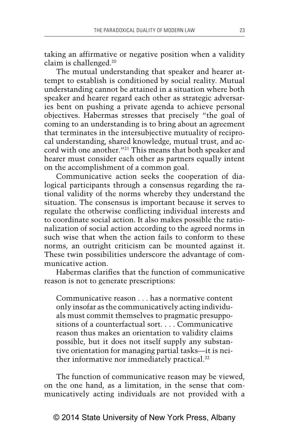taking an affirmative or negative position when a validity claim is challenged.20

The mutual understanding that speaker and hearer attempt to establish is conditioned by social reality. Mutual understanding cannot be attained in a situation where both speaker and hearer regard each other as strategic adversaries bent on pushing a private agenda to achieve personal objectives. Habermas stresses that precisely "the goal of coming to an understanding is to bring about an agreement that terminates in the intersubjective mutuality of reciprocal understanding, shared knowledge, mutual trust, and accord with one another."21 This means that both speaker and hearer must consider each other as partners equally intent on the accomplishment of a common goal.

Communicative action seeks the cooperation of dialogical participants through a consensus regarding the rational validity of the norms whereby they understand the situation. The consensus is important because it serves to regulate the otherwise conflicting individual interests and to coordinate social action. It also makes possible the rationalization of social action according to the agreed norms in such wise that when the action fails to conform to these norms, an outright criticism can be mounted against it. These twin possibilities underscore the advantage of communicative action.

Habermas clarifies that the function of communicative reason is not to generate prescriptions:

Communicative reason . . . has a normative content only insofar as the communicatively acting individuals must commit themselves to pragmatic presuppositions of a counterfactual sort. . . . Communicative reason thus makes an orientation to validity claims possible, but it does not itself supply any substantive orientation for managing partial tasks—it is neither informative nor immediately practical.<sup>22</sup>

The function of communicative reason may be viewed, on the one hand, as a limitation, in the sense that communicatively acting individuals are not provided with a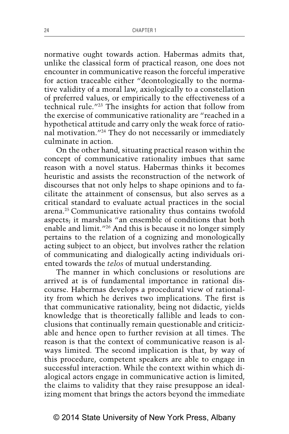normative ought towards action. Habermas admits that, unlike the classical form of practical reason, one does not encounter in communicative reason the forceful imperative for action traceable either "deontologically to the normative validity of a moral law, axiologically to a constellation of preferred values, or empirically to the effectiveness of a technical rule."23 The insights for action that follow from the exercise of communicative rationality are "reached in a hypothetical attitude and carry only the weak force of rational motivation."24 They do not necessarily or immediately culminate in action.

On the other hand, situating practical reason within the concept of communicative rationality imbues that same reason with a novel status. Habermas thinks it becomes heuristic and assists the reconstruction of the network of discourses that not only helps to shape opinions and to facilitate the attainment of consensus, but also serves as a critical standard to evaluate actual practices in the social arena.25 Communicative rationality thus contains twofold aspects; it marshals "an ensemble of conditions that both enable and limit."26 And this is because it no longer simply pertains to the relation of a cognizing and monologically acting subject to an object, but involves rather the relation of communicating and dialogically acting individuals oriented towards the *telos* of mutual understanding.

The manner in which conclusions or resolutions are arrived at is of fundamental importance in rational discourse. Habermas develops a procedural view of rationality from which he derives two implications. The first is that communicative rationality, being not didactic, yields knowledge that is theoretically fallible and leads to conclusions that continually remain questionable and criticizable and hence open to further revision at all times. The reason is that the context of communicative reason is always limited. The second implication is that, by way of this procedure, competent speakers are able to engage in successful interaction. While the context within which dialogical actors engage in communicative action is limited, the claims to validity that they raise presuppose an idealizing moment that brings the actors beyond the immediate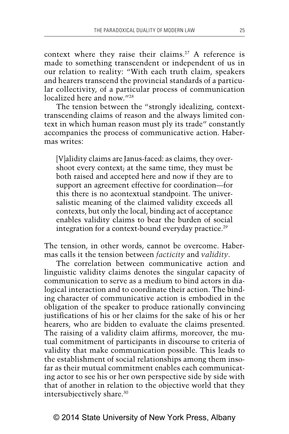context where they raise their claims.<sup>27</sup> A reference is made to something transcendent or independent of us in our relation to reality: "With each truth claim, speakers and hearers transcend the provincial standards of a particular collectivity, of a particular process of communication localized here and now."28

The tension between the "strongly idealizing, contexttranscending claims of reason and the always limited context in which human reason must ply its trade" constantly accompanies the process of communicative action. Habermas writes:

[V]alidity claims are Janus-faced: as claims, they overshoot every context; at the same time, they must be both raised and accepted here and now if they are to support an agreement effective for coordination—for this there is no acontextual standpoint. The universalistic meaning of the claimed validity exceeds all contexts, but only the local, binding act of acceptance enables validity claims to bear the burden of social integration for a context-bound everyday practice.<sup>29</sup>

The tension, in other words, cannot be overcome. Habermas calls it the tension between *facticity* and *validity*.

The correlation between communicative action and linguistic validity claims denotes the singular capacity of communication to serve as a medium to bind actors in dialogical interaction and to coordinate their action. The binding character of communicative action is embodied in the obligation of the speaker to produce rationally convincing justifications of his or her claims for the sake of his or her hearers, who are bidden to evaluate the claims presented. The raising of a validity claim affirms, moreover, the mutual commitment of participants in discourse to criteria of validity that make communication possible. This leads to the establishment of social relationships among them insofar as their mutual commitment enables each communicating actor to see his or her own perspective side by side with that of another in relation to the objective world that they intersubjectively share.30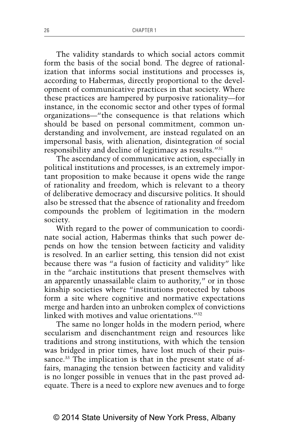The validity standards to which social actors commit form the basis of the social bond. The degree of rationalization that informs social institutions and processes is, according to Habermas, directly proportional to the development of communicative practices in that society. Where these practices are hampered by purposive rationality—for instance, in the economic sector and other types of formal organizations—"the consequence is that relations which should be based on personal commitment, common understanding and involvement, are instead regulated on an impersonal basis, with alienation, disintegration of social responsibility and decline of legitimacy as results."31

The ascendancy of communicative action, especially in political institutions and processes, is an extremely important proposition to make because it opens wide the range of rationality and freedom, which is relevant to a theory of deliberative democracy and discursive politics. It should also be stressed that the absence of rationality and freedom compounds the problem of legitimation in the modern society.

With regard to the power of communication to coordinate social action, Habermas thinks that such power depends on how the tension between facticity and validity is resolved. In an earlier setting, this tension did not exist because there was "a fusion of facticity and validity" like in the "archaic institutions that present themselves with an apparently unassailable claim to authority," or in those kinship societies where "institutions protected by taboos form a site where cognitive and normative expectations merge and harden into an unbroken complex of convictions linked with motives and value orientations."32

The same no longer holds in the modern period, where secularism and disenchantment reign and resources like traditions and strong institutions, with which the tension was bridged in prior times, have lost much of their puissance.<sup>33</sup> The implication is that in the present state of affairs, managing the tension between facticity and validity is no longer possible in venues that in the past proved adequate. There is a need to explore new avenues and to forge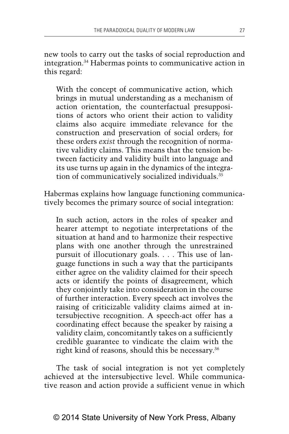new tools to carry out the tasks of social reproduction and integration.34 Habermas points to communicative action in this regard:

With the concept of communicative action, which brings in mutual understanding as a mechanism of action orientation, the counterfactual presuppositions of actors who orient their action to validity claims also acquire immediate relevance for the construction and preservation of social orders; for these orders *exist* through the recognition of normative validity claims. This means that the tension between facticity and validity built into language and its use turns up again in the dynamics of the integration of communicatively socialized individuals.35

Habermas explains how language functioning communicatively becomes the primary source of social integration:

In such action, actors in the roles of speaker and hearer attempt to negotiate interpretations of the situation at hand and to harmonize their respective plans with one another through the unrestrained pursuit of illocutionary goals. . . . This use of language functions in such a way that the participants either agree on the validity claimed for their speech acts or identify the points of disagreement, which they conjointly take into consideration in the course of further interaction. Every speech act involves the raising of criticizable validity claims aimed at intersubjective recognition. A speech-act offer has a coordinating effect because the speaker by raising a validity claim, concomitantly takes on a sufficiently credible guarantee to vindicate the claim with the right kind of reasons, should this be necessary.36

The task of social integration is not yet completely achieved at the intersubjective level. While communicative reason and action provide a sufficient venue in which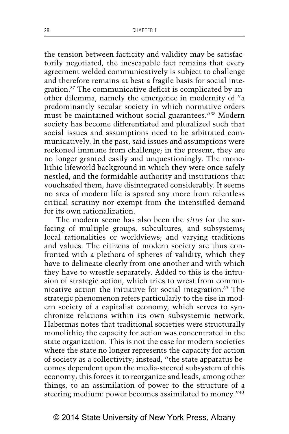the tension between facticity and validity may be satisfactorily negotiated, the inescapable fact remains that every agreement welded communicatively is subject to challenge and therefore remains at best a fragile basis for social integration.37 The communicative deficit is complicated by another dilemma, namely the emergence in modernity of "a predominantly secular society in which normative orders must be maintained without social guarantees."38 Modern society has become differentiated and pluralized such that social issues and assumptions need to be arbitrated communicatively. In the past, said issues and assumptions were reckoned immune from challenge; in the present, they are no longer granted easily and unquestioningly. The monolithic lifeworld background in which they were once safely nestled, and the formidable authority and institutions that vouchsafed them, have disintegrated considerably. It seems no area of modern life is spared any more from relentless critical scrutiny nor exempt from the intensified demand for its own rationalization.

The modern scene has also been the *situs* for the surfacing of multiple groups, subcultures, and subsystems; local rationalities or worldviews; and varying traditions and values. The citizens of modern society are thus confronted with a plethora of spheres of validity, which they have to delineate clearly from one another and with which they have to wrestle separately. Added to this is the intrusion of strategic action, which tries to wrest from communicative action the initiative for social integration.<sup>39</sup> The strategic phenomenon refers particularly to the rise in modern society of a capitalist economy, which serves to synchronize relations within its own subsystemic network. Habermas notes that traditional societies were structurally monolithic; the capacity for action was concentrated in the state organization. This is not the case for modern societies where the state no longer represents the capacity for action of society as a collectivity; instead, "the state apparatus becomes dependent upon the media-steered subsystem of this economy; this forces it to reorganize and leads, among other things, to an assimilation of power to the structure of a steering medium: power becomes assimilated to money.<sup>"40</sup>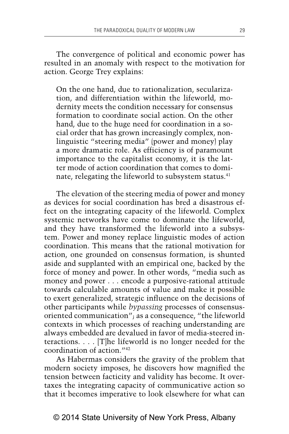The convergence of political and economic power has resulted in an anomaly with respect to the motivation for action. George Trey explains:

On the one hand, due to rationalization, secularization, and differentiation within the lifeworld, modernity meets the condition necessary for consensus formation to coordinate social action. On the other hand, due to the huge need for coordination in a social order that has grown increasingly complex, nonlinguistic "steering media" (power and money) play a more dramatic role. As efficiency is of paramount importance to the capitalist economy, it is the latter mode of action coordination that comes to dominate, relegating the lifeworld to subsystem status.<sup>41</sup>

The elevation of the steering media of power and money as devices for social coordination has bred a disastrous effect on the integrating capacity of the lifeworld. Complex systemic networks have come to dominate the lifeworld, and they have transformed the lifeworld into a subsystem. Power and money replace linguistic modes of action coordination. This means that the rational motivation for action, one grounded on consensus formation, is shunted aside and supplanted with an empirical one, backed by the force of money and power. In other words, "media such as money and power . . . encode a purposive-rational attitude towards calculable amounts of value and make it possible to exert generalized, strategic influence on the decisions of other participants while *bypassing* processes of consensusoriented communication"; as a consequence, "the lifeworld contexts in which processes of reaching understanding are always embedded are devalued in favor of media-steered interactions. . . . [T]he lifeworld is no longer needed for the coordination of action."42

As Habermas considers the gravity of the problem that modern society imposes, he discovers how magnified the tension between facticity and validity has become. It overtaxes the integrating capacity of communicative action so that it becomes imperative to look elsewhere for what can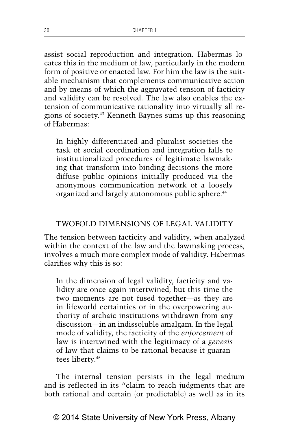assist social reproduction and integration. Habermas locates this in the medium of law, particularly in the modern form of positive or enacted law. For him the law is the suitable mechanism that complements communicative action and by means of which the aggravated tension of facticity and validity can be resolved. The law also enables the extension of communicative rationality into virtually all regions of society.43 Kenneth Baynes sums up this reasoning of Habermas:

In highly differentiated and pluralist societies the task of social coordination and integration falls to institutionalized procedures of legitimate lawmaking that transform into binding decisions the more diffuse public opinions initially produced via the anonymous communication network of a loosely organized and largely autonomous public sphere.<sup>44</sup>

### TWOFOLD DIMENSIONS OF LEGAL VALIDITY

The tension between facticity and validity, when analyzed within the context of the law and the lawmaking process, involves a much more complex mode of validity. Habermas clarifies why this is so:

In the dimension of legal validity, facticity and validity are once again intertwined, but this time the two moments are not fused together—as they are in lifeworld certainties or in the overpowering authority of archaic institutions withdrawn from any discussion—in an indissoluble amalgam. In the legal mode of validity, the facticity of the *enforcement* of law is intertwined with the legitimacy of a *genesis*  of law that claims to be rational because it guarantees liberty.45

The internal tension persists in the legal medium and is reflected in its "claim to reach judgments that are both rational and certain (or predictable) as well as in its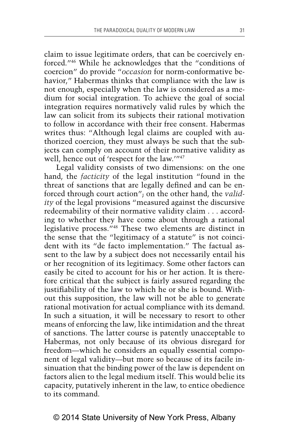claim to issue legitimate orders, that can be coercively enforced."46 While he acknowledges that the "conditions of coercion" do provide "*occasion* for norm-conformative behavior," Habermas thinks that compliance with the law is not enough, especially when the law is considered as a medium for social integration. To achieve the goal of social integration requires normatively valid rules by which the law can solicit from its subjects their rational motivation to follow in accordance with their free consent. Habermas writes thus: "Although legal claims are coupled with authorized coercion, they must always be such that the subjects can comply on account of their normative validity as well, hence out of 'respect for the law.'"47

Legal validity consists of two dimensions: on the one hand, the *facticity* of the legal institution "found in the threat of sanctions that are legally defined and can be enforced through court action"; on the other hand, the *validity* of the legal provisions "measured against the discursive redeemability of their normative validity claim . . . according to whether they have come about through a rational legislative process."48 These two elements are distinct in the sense that the "legitimacy of a statute" is not coincident with its "de facto implementation." The factual assent to the law by a subject does not necessarily entail his or her recognition of its legitimacy. Some other factors can easily be cited to account for his or her action. It is therefore critical that the subject is fairly assured regarding the justifiability of the law to which he or she is bound. Without this supposition, the law will not be able to generate rational motivation for actual compliance with its demand. In such a situation, it will be necessary to resort to other means of enforcing the law, like intimidation and the threat of sanctions. The latter course is patently unacceptable to Habermas, not only because of its obvious disregard for freedom—which he considers an equally essential component of legal validity—but more so because of its facile insinuation that the binding power of the law is dependent on factors alien to the legal medium itself. This would belie its capacity, putatively inherent in the law, to entice obedience to its command.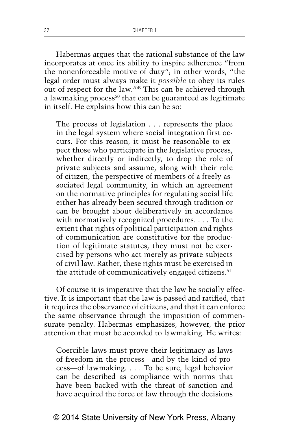Habermas argues that the rational substance of the law incorporates at once its ability to inspire adherence "from the nonenforceable motive of duty"; in other words, "the legal order must always make it *possible* to obey its rules out of respect for the law."49 This can be achieved through a lawmaking process $50$  that can be guaranteed as legitimate in itself. He explains how this can be so:

The process of legislation . . . represents the place in the legal system where social integration first occurs. For this reason, it must be reasonable to expect those who participate in the legislative process, whether directly or indirectly, to drop the role of private subjects and assume, along with their role of citizen, the perspective of members of a freely associated legal community, in which an agreement on the normative principles for regulating social life either has already been secured through tradition or can be brought about deliberatively in accordance with normatively recognized procedures. . . . To the extent that rights of political participation and rights of communication are constitutive for the production of legitimate statutes, they must not be exercised by persons who act merely as private subjects of civil law. Rather, these rights must be exercised in the attitude of communicatively engaged citizens.<sup>51</sup>

Of course it is imperative that the law be socially effective. It is important that the law is passed and ratified, that it requires the observance of citizens, and that it can enforce the same observance through the imposition of commensurate penalty. Habermas emphasizes, however, the prior attention that must be accorded to lawmaking. He writes:

Coercible laws must prove their legitimacy as laws of freedom in the process—and by the kind of process—of lawmaking. . . . To be sure, legal behavior can be described as compliance with norms that have been backed with the threat of sanction and have acquired the force of law through the decisions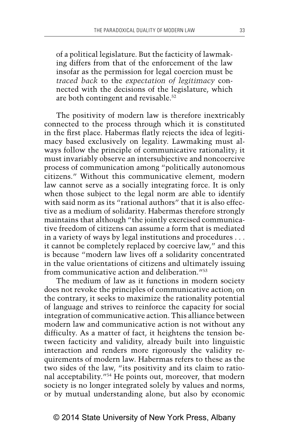of a political legislature. But the facticity of lawmaking differs from that of the enforcement of the law insofar as the permission for legal coercion must be *traced back* to the *expectation of legitimacy* connected with the decisions of the legislature, which are both contingent and revisable.<sup>52</sup>

The positivity of modern law is therefore inextricably connected to the process through which it is constituted in the first place. Habermas flatly rejects the idea of legitimacy based exclusively on legality. Lawmaking must always follow the principle of communicative rationality; it must invariably observe an intersubjective and noncoercive process of communication among "politically autonomous citizens." Without this communicative element, modern law cannot serve as a socially integrating force. It is only when those subject to the legal norm are able to identify with said norm as its "rational authors" that it is also effective as a medium of solidarity. Habermas therefore strongly maintains that although "the jointly exercised communicative freedom of citizens can assume a form that is mediated in a variety of ways by legal institutions and procedures . . . it cannot be completely replaced by coercive law," and this is because "modern law lives off a solidarity concentrated in the value orientations of citizens and ultimately issuing from communicative action and deliberation."53

The medium of law as it functions in modern society does not revoke the principles of communicative action; on the contrary, it seeks to maximize the rationality potential of language and strives to reinforce the capacity for social integration of communicative action. This alliance between modern law and communicative action is not without any difficulty. As a matter of fact, it heightens the tension between facticity and validity, already built into linguistic interaction and renders more rigorously the validity requirements of modern law. Habermas refers to these as the two sides of the law, "its positivity and its claim to rational acceptability."54 He points out, moreover, that modern society is no longer integrated solely by values and norms, or by mutual understanding alone, but also by economic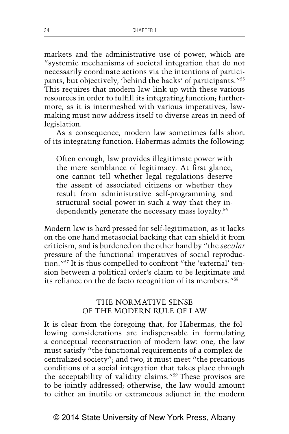markets and the administrative use of power, which are "systemic mechanisms of societal integration that do not necessarily coordinate actions via the intentions of participants, but objectively, 'behind the backs' of participants."55 This requires that modern law link up with these various resources in order to fulfill its integrating function; furthermore, as it is intermeshed with various imperatives, lawmaking must now address itself to diverse areas in need of legislation.

As a consequence, modern law sometimes falls short of its integrating function. Habermas admits the following:

Often enough, law provides illegitimate power with the mere semblance of legitimacy. At first glance, one cannot tell whether legal regulations deserve the assent of associated citizens or whether they result from administrative self-programming and structural social power in such a way that they independently generate the necessary mass loyalty.<sup>56</sup>

Modern law is hard pressed for self-legitimation, as it lacks on the one hand metasocial backing that can shield it from criticism, and is burdened on the other hand by "the *secular* pressure of the functional imperatives of social reproduction."57 It is thus compelled to confront "the 'external' tension between a political order's claim to be legitimate and its reliance on the de facto recognition of its members."58

#### THE NORMATIVE SENSE OF THE MODERN RULE OF LAW

It is clear from the foregoing that, for Habermas, the following considerations are indispensable in formulating a conceptual reconstruction of modern law: one, the law must satisfy "the functional requirements of a complex decentralized society"; and two, it must meet "the precarious conditions of a social integration that takes place through the acceptability of validity claims."59 These provisos are to be jointly addressed; otherwise, the law would amount to either an inutile or extraneous adjunct in the modern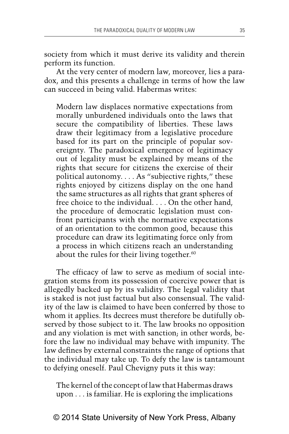society from which it must derive its validity and therein perform its function.

At the very center of modern law, moreover, lies a paradox, and this presents a challenge in terms of how the law can succeed in being valid. Habermas writes:

Modern law displaces normative expectations from morally unburdened individuals onto the laws that secure the compatibility of liberties. These laws draw their legitimacy from a legislative procedure based for its part on the principle of popular sovereignty. The paradoxical emergence of legitimacy out of legality must be explained by means of the rights that secure for citizens the exercise of their political autonomy. . . . As "subjective rights," these rights enjoyed by citizens display on the one hand the same structures as all rights that grant spheres of free choice to the individual. . . . On the other hand, the procedure of democratic legislation must confront participants with the normative expectations of an orientation to the common good, because this procedure can draw its legitimating force only from a process in which citizens reach an understanding about the rules for their living together.<sup>60</sup>

The efficacy of law to serve as medium of social integration stems from its possession of coercive power that is allegedly backed up by its validity. The legal validity that is staked is not just factual but also consensual. The validity of the law is claimed to have been conferred by those to whom it applies. Its decrees must therefore be dutifully observed by those subject to it. The law brooks no opposition and any violation is met with sanction; in other words, before the law no individual may behave with impunity. The law defines by external constraints the range of options that the individual may take up. To defy the law is tantamount to defying oneself. Paul Chevigny puts it this way:

The kernel of the concept of law that Habermas draws upon . . . is familiar. He is exploring the implications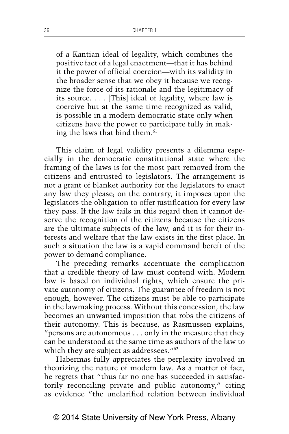of a Kantian ideal of legality, which combines the positive fact of a legal enactment—that it has behind it the power of official coercion—with its validity in the broader sense that we obey it because we recognize the force of its rationale and the legitimacy of its source. . . . [This] ideal of legality, where law is coercive but at the same time recognized as valid, is possible in a modern democratic state only when citizens have the power to participate fully in making the laws that bind them.<sup>61</sup>

This claim of legal validity presents a dilemma especially in the democratic constitutional state where the framing of the laws is for the most part removed from the citizens and entrusted to legislators. The arrangement is not a grant of blanket authority for the legislators to enact any law they please; on the contrary, it imposes upon the legislators the obligation to offer justification for every law they pass. If the law fails in this regard then it cannot deserve the recognition of the citizens because the citizens are the ultimate subjects of the law, and it is for their interests and welfare that the law exists in the first place. In such a situation the law is a vapid command bereft of the power to demand compliance.

The preceding remarks accentuate the complication that a credible theory of law must contend with. Modern law is based on individual rights, which ensure the private autonomy of citizens. The guarantee of freedom is not enough, however. The citizens must be able to participate in the lawmaking process. Without this concession, the law becomes an unwanted imposition that robs the citizens of their autonomy. This is because, as Rasmussen explains, "persons are autonomous . . . only in the measure that they can be understood at the same time as authors of the law to which they are subject as addressees."<sup>62</sup>

Habermas fully appreciates the perplexity involved in theorizing the nature of modern law. As a matter of fact, he regrets that "thus far no one has succeeded in satisfactorily reconciling private and public autonomy," citing as evidence "the unclarified relation between individual